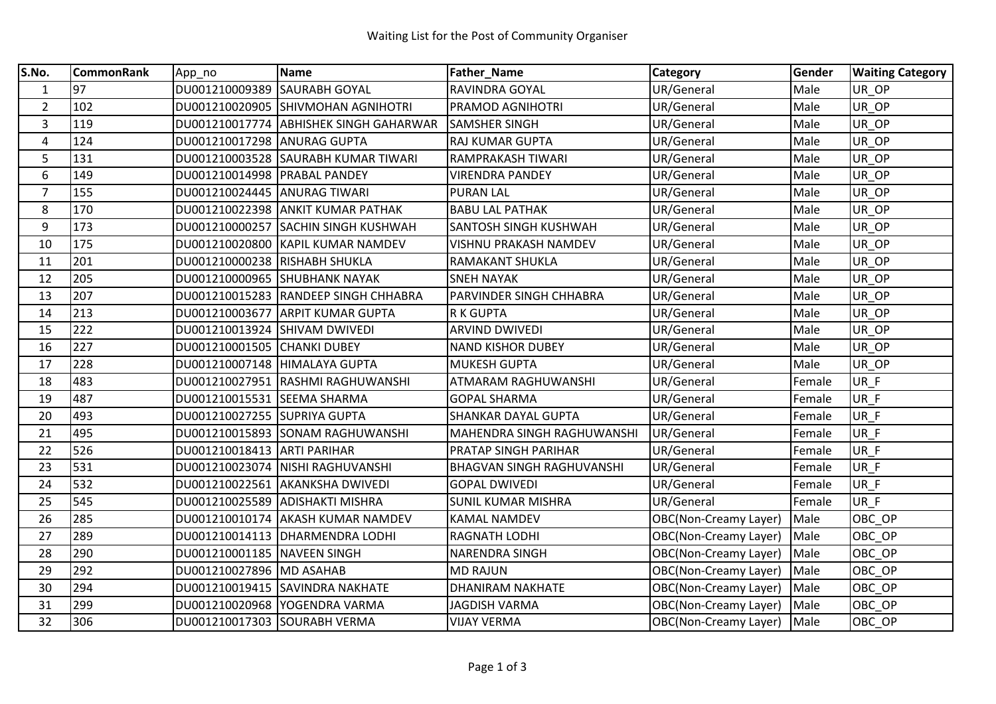| S.No.          | <b>CommonRank</b> | App_no                         | Name                              | <b>Father_Name</b>               | <b>Category</b>              | Gender | <b>Waiting Category</b> |
|----------------|-------------------|--------------------------------|-----------------------------------|----------------------------------|------------------------------|--------|-------------------------|
| $\mathbf{1}$   | 97                | DU001210009389                 | <b>SAURABH GOYAL</b>              | RAVINDRA GOYAL                   | UR/General                   | Male   | UR OP                   |
| $\overline{2}$ | 102               | DU001210020905                 | SHIVMOHAN AGNIHOTRI               | <b>PRAMOD AGNIHOTRI</b>          | UR/General                   | Male   | UR OP                   |
| $\overline{3}$ | 119               | DU001210017774                 | <b>ABHISHEK SINGH GAHARWAR</b>    | <b>SAMSHER SINGH</b>             | UR/General                   | Male   | UR OP                   |
| $\pmb{4}$      | 124               | DU001210017298                 | <b>ANURAG GUPTA</b>               | <b>RAJ KUMAR GUPTA</b>           | UR/General                   | Male   | UR OP                   |
| 5              | 131               | DU001210003528                 | <b>SAURABH KUMAR TIWARI</b>       | <b>RAMPRAKASH TIWARI</b>         | UR/General                   | Male   | UR_OP                   |
| 6              | 149               | DU001210014998   PRABAL PANDEY |                                   | <b>VIRENDRA PANDEY</b>           | UR/General                   | Male   | UR_OP                   |
| $\overline{7}$ | 155               | DU001210024445                 | <b>ANURAG TIWARI</b>              | <b>PURAN LAL</b>                 | UR/General                   | Male   | UR_OP                   |
| 8              | 170               | DU001210022398                 | <b>ANKIT KUMAR PATHAK</b>         | <b>BABU LAL PATHAK</b>           | UR/General                   | Male   | UR_OP                   |
| 9              | 173               | DU001210000257                 | <b>SACHIN SINGH KUSHWAH</b>       | SANTOSH SINGH KUSHWAH            | UR/General                   | Male   | UR OP                   |
| 10             | 175               |                                | DU001210020800 KAPIL KUMAR NAMDEV | VISHNU PRAKASH NAMDEV            | UR/General                   | Male   | UR OP                   |
| 11             | 201               | DU001210000238 RISHABH SHUKLA  |                                   | <b>RAMAKANT SHUKLA</b>           | UR/General                   | Male   | UR_OP                   |
| 12             | 205               | DU001210000965                 | <b>SHUBHANK NAYAK</b>             | <b>SNEH NAYAK</b>                | UR/General                   | Male   | UR OP                   |
| 13             | 207               | DU001210015283                 | <b>RANDEEP SINGH CHHABRA</b>      | PARVINDER SINGH CHHABRA          | UR/General                   | Male   | UR OP                   |
| 14             | 213               | DU001210003677                 | <b>ARPIT KUMAR GUPTA</b>          | <b>R K GUPTA</b>                 | UR/General                   | Male   | UR OP                   |
| 15             | 222               | DU001210013924                 | <b>SHIVAM DWIVEDI</b>             | <b>ARVIND DWIVEDI</b>            | UR/General                   | Male   | UR_OP                   |
| 16             | 227               | DU001210001505                 | <b>CHANKI DUBEY</b>               | <b>NAND KISHOR DUBEY</b>         | UR/General                   | Male   | UR OP                   |
| 17             | 228               |                                | DU001210007148 HIMALAYA GUPTA     | <b>MUKESH GUPTA</b>              | UR/General                   | Male   | UR_OP                   |
| 18             | 483               |                                | DU001210027951 RASHMI RAGHUWANSHI | ATMARAM RAGHUWANSHI              | UR/General                   | Female | UR F                    |
| 19             | 487               | DU001210015531                 | <b>SEEMA SHARMA</b>               | <b>GOPAL SHARMA</b>              | UR/General                   | Female | UR F                    |
| 20             | 493               | DU001210027255                 | <b>SUPRIYA GUPTA</b>              | <b>SHANKAR DAYAL GUPTA</b>       | UR/General                   | Female | UR F                    |
| 21             | 495               | DU001210015893                 | <b>SONAM RAGHUWANSHI</b>          | MAHENDRA SINGH RAGHUWANSHI       | UR/General                   | Female | UR F                    |
| 22             | 526               | DU001210018413                 | <b>ARTI PARIHAR</b>               | <b>PRATAP SINGH PARIHAR</b>      | UR/General                   | Female | UR F                    |
| 23             | 531               | DU001210023074                 | NISHI RAGHUVANSHI                 | <b>BHAGVAN SINGH RAGHUVANSHI</b> | UR/General                   | Female | UR F                    |
| 24             | 532               | DU001210022561                 | <b>AKANKSHA DWIVEDI</b>           | <b>GOPAL DWIVEDI</b>             | UR/General                   | Female | UR F                    |
| 25             | 545               | DU001210025589                 | <b>ADISHAKTI MISHRA</b>           | <b>SUNIL KUMAR MISHRA</b>        | UR/General                   | Female | UR F                    |
| 26             | 285               | DU001210010174                 | <b>AKASH KUMAR NAMDEV</b>         | <b>KAMAL NAMDEV</b>              | <b>OBC(Non-Creamy Layer)</b> | Male   | OBC OP                  |
| 27             | 289               | DU001210014113                 | <b>DHARMENDRA LODHI</b>           | RAGNATH LODHI                    | OBC(Non-Creamy Layer)        | Male   | OBC OP                  |
| 28             | 290               | DU001210001185                 | <b>NAVEEN SINGH</b>               | <b>NARENDRA SINGH</b>            | OBC(Non-Creamy Layer)        | Male   | OBC_OP                  |
| 29             | 292               | DU001210027896                 | <b>MD ASAHAB</b>                  | <b>MD RAJUN</b>                  | OBC(Non-Creamy Layer)        | Male   | OBC_OP                  |
| 30             | 294               |                                | DU001210019415 SAVINDRA NAKHATE   | <b>DHANIRAM NAKHATE</b>          | OBC(Non-Creamy Layer)        | Male   | OBC_OP                  |
| 31             | 299               | DU001210020968                 | YOGENDRA VARMA                    | <b>JAGDISH VARMA</b>             | OBC(Non-Creamy Layer)        | Male   | OBC_OP                  |
| 32             | 306               | DU001210017303 SOURABH VERMA   |                                   | <b>VIJAY VERMA</b>               | OBC(Non-Creamy Layer)        | Male   | OBC_OP                  |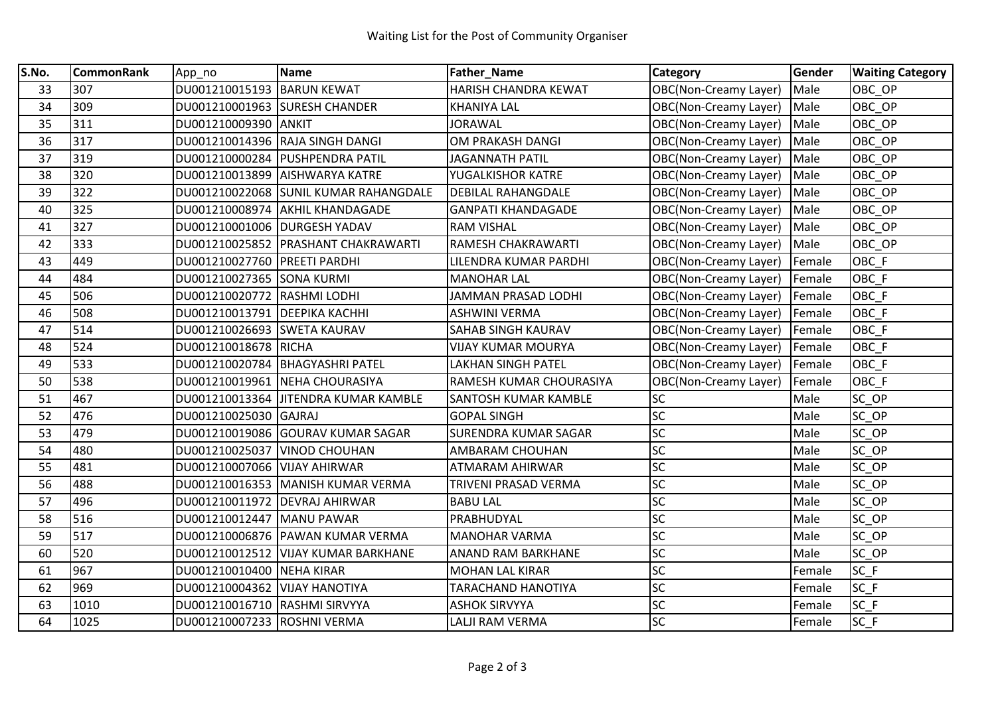| S.No. | <b>CommonRank</b> | App_no                         | <b>Name</b>                           | Father_Name                 | <b>Category</b>              | Gender | <b>Waiting Category</b> |
|-------|-------------------|--------------------------------|---------------------------------------|-----------------------------|------------------------------|--------|-------------------------|
| 33    | 307               | DU001210015193                 | <b>BARUN KEWAT</b>                    | HARISH CHANDRA KEWAT        | OBC(Non-Creamy Layer)        | Male   | OBC OP                  |
| 34    | 309               |                                | DU001210001963 SURESH CHANDER         | <b>KHANIYA LAL</b>          | OBC(Non-Creamy Layer)        | Male   | OBC OP                  |
| 35    | 311               | DU001210009390 ANKIT           |                                       | JORAWAL                     | OBC(Non-Creamy Layer)        | Male   | OBC OP                  |
| 36    | 317               |                                | DU001210014396 RAJA SINGH DANGI       | OM PRAKASH DANGI            | OBC(Non-Creamy Layer)        | Male   | OBC OP                  |
| 37    | 319               | DU001210000284                 | <b>PUSHPENDRA PATIL</b>               | <b>JAGANNATH PATIL</b>      | OBC(Non-Creamy Layer)        | Male   | OBC OP                  |
| 38    | 320               | DU001210013899                 | <b>AISHWARYA KATRE</b>                | YUGALKISHOR KATRE           | OBC(Non-Creamy Layer)        | Male   | OBC OP                  |
| 39    | 322               |                                | DU001210022068 SUNIL KUMAR RAHANGDALE | <b>DEBILAL RAHANGDALE</b>   | OBC(Non-Creamy Layer)        | Male   | OBC_OP                  |
| 40    | 325               | DU001210008974                 | <b>AKHIL KHANDAGADE</b>               | <b>GANPATI KHANDAGADE</b>   | OBC(Non-Creamy Layer)        | Male   | OBC OP                  |
| 41    | 327               | DU001210001006 DURGESH YADAV   |                                       | <b>RAM VISHAL</b>           | OBC(Non-Creamy Layer)        | Male   | OBC OP                  |
| 42    | 333               |                                | DU001210025852 PRASHANT CHAKRAWARTI   | RAMESH CHAKRAWARTI          | OBC(Non-Creamy Layer)        | Male   | OBC_OP                  |
| 43    | 449               | DU001210027760   PREETI PARDHI |                                       | LILENDRA KUMAR PARDHI       | OBC(Non-Creamy Layer)        | Female | OBC F                   |
| 44    | 484               | DU001210027365                 | <b>SONA KURMI</b>                     | <b>MANOHAR LAL</b>          | OBC(Non-Creamy Layer)        | Female | OBC F                   |
| 45    | 506               | DU001210020772                 | <b>RASHMI LODHI</b>                   | <b>JAMMAN PRASAD LODHI</b>  | <b>OBC(Non-Creamy Layer)</b> | Female | OBC F                   |
| 46    | 508               | DU001210013791                 | <b>DEEPIKA KACHHI</b>                 | <b>ASHWINI VERMA</b>        | OBC(Non-Creamy Layer)        | Female | OBC F                   |
| 47    | 514               | DU001210026693 SWETA KAURAV    |                                       | SAHAB SINGH KAURAV          | <b>OBC(Non-Creamy Layer)</b> | Female | OBC F                   |
| 48    | 524               | DU001210018678 RICHA           |                                       | <b>VIJAY KUMAR MOURYA</b>   | OBC(Non-Creamy Layer)        | Female | OBC F                   |
| 49    | 533               |                                | DU001210020784 BHAGYASHRI PATEL       | <b>LAKHAN SINGH PATEL</b>   | OBC(Non-Creamy Layer)        | Female | OBC F                   |
| 50    | 538               | DU001210019961                 | <b>NEHA CHOURASIYA</b>                | RAMESH KUMAR CHOURASIYA     | OBC(Non-Creamy Layer)        | Female | OBC F                   |
| 51    | 467               |                                | DU001210013364 JITENDRA KUMAR KAMBLE  | <b>SANTOSH KUMAR KAMBLE</b> | <b>SC</b>                    | Male   | SC OP                   |
| 52    | 476               | DU001210025030                 | <b>GAJRAJ</b>                         | <b>GOPAL SINGH</b>          | <b>SC</b>                    | Male   | SC OP                   |
| 53    | 479               | DU001210019086                 | <b>GOURAV KUMAR SAGAR</b>             | <b>SURENDRA KUMAR SAGAR</b> | SC                           | Male   | SC OP                   |
| 54    | 480               | DU001210025037                 | <b>VINOD CHOUHAN</b>                  | <b>AMBARAM CHOUHAN</b>      | <b>SC</b>                    | Male   | SC OP                   |
| 55    | 481               | DU001210007066 VIJAY AHIRWAR   |                                       | ATMARAM AHIRWAR             | SC                           | Male   | SC_OP                   |
| 56    | 488               | DU001210016353                 | MANISH KUMAR VERMA                    | TRIVENI PRASAD VERMA        | SC                           | Male   | SC OP                   |
| 57    | 496               | DU001210011972                 | <b>DEVRAJ AHIRWAR</b>                 | <b>BABU LAL</b>             | SC                           | Male   | SC_OP                   |
| 58    | 516               | DU001210012447                 | <b>MANU PAWAR</b>                     | PRABHUDYAL                  | SC                           | Male   | SC OP                   |
| 59    | 517               |                                | DU001210006876 PAWAN KUMAR VERMA      | <b>MANOHAR VARMA</b>        | SC                           | Male   | SC OP                   |
| 60    | 520               | DU001210012512                 | <b>VIJAY KUMAR BARKHANE</b>           | ANAND RAM BARKHANE          | SC                           | Male   | SC OP                   |
| 61    | 967               | DU001210010400 NEHA KIRAR      |                                       | <b>MOHAN LAL KIRAR</b>      | SC                           | Female | SC F                    |
| 62    | 969               | DU001210004362 VIJAY HANOTIYA  |                                       | <b>TARACHAND HANOTIYA</b>   | SC                           | Female | SC F                    |
| 63    | 1010              | DU001210016710 RASHMI SIRVYYA  |                                       | <b>ASHOK SIRVYYA</b>        | SC                           | Female | SC_F                    |
| 64    | 1025              | DU001210007233 ROSHNI VERMA    |                                       | LALJI RAM VERMA             | SC                           | Female | SC_F                    |